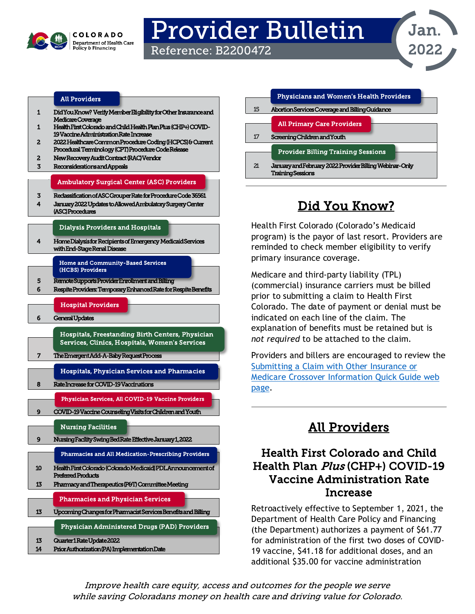

# Provider Bulletin

Reference: B2200472



#### [All Providers](#page-0-2)

- [1 Did You Know?](#page-0-0) Verify Member Eligibility for Other Insurance and Medicare Coverage
- [1 Health First Colorado and Child Health Plan Plus \(CHP+\) COVID-](#page-0-1)[19 Vaccine Administration Rate Increase](#page-0-1)
- [2 2022 Healthcare Common Procedure Coding \(HCPCS\) & Current](#page-1-0)  [Procedural Terminology \(CPT\) Procedure Code Release](#page-1-0)
- [2 New Recovery Audit Contract \(RAC\) Vendor](#page-1-1)
- [3 Reconsiderations and Appeals](#page-2-0)

#### [Ambulatory Surgical Center \(ASC\) Providers](#page-2-2)

- [3 Reclassification of ASC Grouper Rate for Procedure Code 36561](#page-2-1)
- [4 January 2022 Updates to Allowed Ambulatory Surgery Center](#page-3-0)  [\(ASC\) Procedures](#page-3-0)

#### [Dialysis Providers and Hospitals](#page-3-2)

[4 Home Dialysis for Recipients of Emergency Medicaid Services](#page-3-1)  [with End-Stage Renal Disease](#page-3-1) 

> [Home and Community-Based Services](#page-4-1)  [\(HCBS\) Providers](#page-4-1)

- [5 Remote Supports Provider Enrollment and Billing](#page-4-0)  [6 Respite Providers: Temporary Enhanced Rate for Respite Benefits](#page-5-0) 
	- [Hospital Providers](#page-5-2)
- [6 General Updates](#page-5-1)

l

[Hospitals, Freestanding Birth Centers, Physician](#page-6-1)  [Services, Clinics, Hospitals, Women's Services](#page-6-1) 

[7 The Emergent Add-A-Baby Request Process](#page-6-0) 

[Hospitals, Physician Services and Pharmacies](#page-7-1) 

[8 Rate Increase for COVID-19 Vaccinations](#page-7-0) 

[Physician Services, All COVID-19 Vaccine Providers](#page-8-3) 

[9 COVID-19 Vaccine Counseling Visits for Children and Youth](#page-8-0) 

### [Nursing Facilities](#page-8-2)

l [9 Nursing Facility Swing Bed Rate Effective January 1, 2022](#page-8-1)  [10 Health First Colorado \(Colorado Medicaid\) PDL Announcement of](#page-9-0)  [Preferred Products](#page-9-0)  [Pharmacies and All Medication-Prescribing Providers](#page-9-1) 

- [13 Pharmacy and Therapeutics \(P&T\) Committee Meeting](#page-12-0) 
	- [Pharmacies and Physician Services](#page-12-3)
- [13 Upcoming Changes for Pharmacist Services Benefits and Billing](#page-12-1)

#### [Physician Administered Drugs \(PAD\) Providers](#page-12-4)

- [13 Quarter 1 Rate Update 2022](#page-12-2)
- [14 Prior Authorization \(PA\) Implementation Date](#page-13-0)

|    | <b>Physicians and Women's Health Providers</b>                                      |
|----|-------------------------------------------------------------------------------------|
| 15 | Abortion Services Coverage and Billing Guidance                                     |
|    | <b>All Primary Care Providers</b>                                                   |
| 17 | Screening Children and Youth                                                        |
|    | <b>Provider Billing Training Sessions</b>                                           |
| 21 | January and February 2022 Provider Billing Webinar-Only<br><b>Training Sessions</b> |

# Did You Know?

<span id="page-0-0"></span>Health First Colorado (Colorado's Medicaid program) is the payor of last resort. Providers are reminded to check member eligibility to verify primary insurance coverage.

Medicare and third-party liability (TPL) (commercial) insurance carriers must be billed prior to submitting a claim to Health First Colorado. The date of payment or denial must be indicated on each line of the claim. The explanation of benefits must be retained but is *not required* to be attached to the claim.

Providers and billers are encouraged to review the [Submitting a Claim with Other Insurance or](https://hcpf.colorado.gov/oi-medicare-xover)  [Medicare Crossover Information](https://hcpf.colorado.gov/oi-medicare-xover) Quick Guide web [page.](https://hcpf.colorado.gov/oi-medicare-xover)

# All Providers

### <span id="page-0-2"></span><span id="page-0-1"></span>Health First Colorado and Child Health Plan Plus (CHP+) COVID-19 Vaccine Administration Rate Increase

Retroactively effective to September 1, 2021, the Department of Health Care Policy and Financing (the Department) authorizes a payment of \$61.77 for administration of the first two doses of COVID-19 vaccine, \$41.18 for additional doses, and an additional \$35.00 for vaccine administration

Improve health care equity, access and outcomes for the people we serve while saving Coloradans money on health care and driving value for Colorado.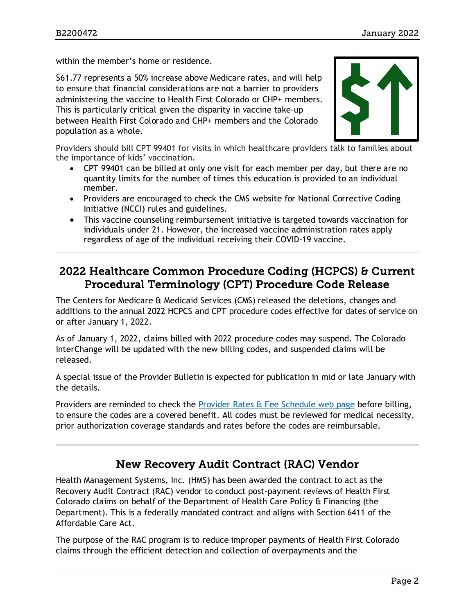within the member's home or residence.

\$61.77 represents a 50% increase above Medicare rates, and will help to ensure that financial considerations are not a barrier to providers administering the vaccine to Health First Colorado or CHP+ members. This is particularly critical given the disparity in vaccine take-up between Health First Colorado and CHP+ members and the Colorado population as a whole.



Providers should bill CPT 99401 for visits in which healthcare providers talk to families about the importance of kids' vaccination.

- CPT 99401 can be billed at only one visit for each member per day, but there are no quantity limits for the number of times this education is provided to an individual member.
- Providers are encouraged to check the CMS website for National Corrective Coding Initiative (NCCI) rules and guidelines.
- This vaccine counseling reimbursement initiative is targeted towards vaccination for individuals under 21. However, the increased vaccine administration rates apply regardless of age of the individual receiving their COVID-19 vaccine.

### <span id="page-1-0"></span>2022 Healthcare Common Procedure Coding (HCPCS) & Current Procedural Terminology (CPT) Procedure Code Release

The Centers for Medicare & Medicaid Services (CMS) released the deletions, changes and additions to the annual 2022 HCPCS and CPT procedure codes effective for dates of service on or after January 1, 2022.

As of January 1, 2022, claims billed with 2022 procedure codes may suspend. The Colorado interChange will be updated with the new billing codes, and suspended claims will be released.

A special issue of the Provider Bulletin is expected for publication in mid or late January with the details.

Providers are reminded to check the [Provider Rates & Fee Schedule web page](https://hcpf.colorado.gov/provider-rates-fee-schedule) before billing, to ensure the codes are a covered benefit. All codes must be reviewed for medical necessity, prior authorization coverage standards and rates before the codes are reimbursable.

# New Recovery Audit Contract (RAC) Vendor

<span id="page-1-1"></span>Health Management Systems, Inc. (HMS) has been awarded the contract to act as the Recovery Audit Contract (RAC) vendor to conduct post-payment reviews of Health First Colorado claims on behalf of the Department of Health Care Policy & Financing (the Department). This is a federally mandated contract and aligns with Section 6411 of the Affordable Care Act.

The purpose of the RAC program is to reduce improper payments of Health First Colorado claims through the efficient detection and collection of overpayments and the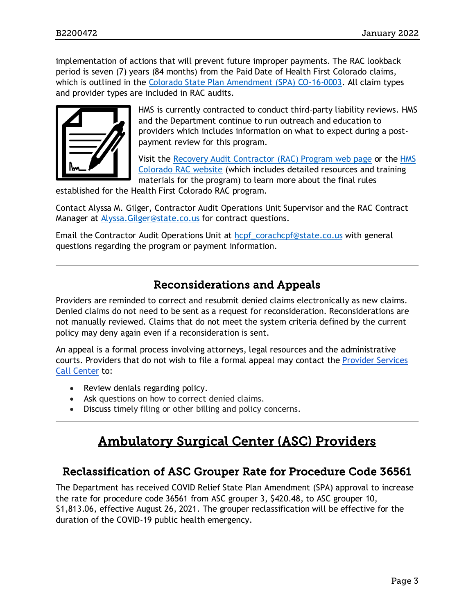implementation of actions that will prevent future improper payments. The RAC lookback period is seven (7) years (84 months) from the Paid Date of Health First Colorado claims, which is outlined in the [Colorado State Plan Amendment \(SPA\) CO-16-0003.](https://www.medicaid.gov/sites/default/files/State-resource-center/Medicaid-State-Plan-Amendments/Downloads/CO/CO-16-0003.pdf) All claim types and provider types are included in RAC audits.



HMS is currently contracted to conduct third-party liability reviews. HMS and the Department continue to run outreach and education to providers which includes information on what to expect during a postpayment review for this program.

Visit the [Recovery Audit Contractor \(RAC\) Program](https://hcpf.colorado.gov/recovery-audit-contractor-rac-program) web page or the HMS [Colorado RAC website](https://resources.hms.com/state/colorado/rac) (which includes detailed resources and training materials for the program) to learn more about the final rules

established for the Health First Colorado RAC program.

Contact Alyssa M. Gilger, Contractor Audit Operations Unit Supervisor and the RAC Contract Manager at [Alyssa.Gilger@state.co.us](mailto:Alyssa.Gilger@state.co.us) for contract questions.

Email the Contractor Audit Operations Unit at [hcpf\\_corachcpf@state.co.us](mailto:hcpf_corachcpf@state.co.us) with general questions regarding the program or payment information.

### Reconsiderations and Appeals

<span id="page-2-0"></span>Providers are reminded to correct and resubmit denied claims electronically as new claims. Denied claims do not need to be sent as a request for reconsideration. Reconsiderations are not manually reviewed. Claims that do not meet the system criteria defined by the current policy may deny again even if a reconsideration is sent.

An appeal is a formal process involving attorneys, legal resources and the administrative courts. Providers that do not wish to file a formal appeal may contact the [Provider Services](https://hcpf.colorado.gov/provider-help)  [Call Center](https://hcpf.colorado.gov/provider-help) to:

- Review denials regarding policy.
- Ask questions on how to correct denied claims.
- <span id="page-2-2"></span>• Discuss timely filing or other billing and policy concerns.

# Ambulatory Surgical Center (ASC) Providers

### <span id="page-2-1"></span>Reclassification of ASC Grouper Rate for Procedure Code 36561

The Department has received COVID Relief State Plan Amendment (SPA) approval to increase the rate for procedure code 36561 from ASC grouper 3, \$420.48, to ASC grouper 10, \$1,813.06, effective August 26, 2021. The grouper reclassification will be effective for the duration of the COVID-19 public health emergency.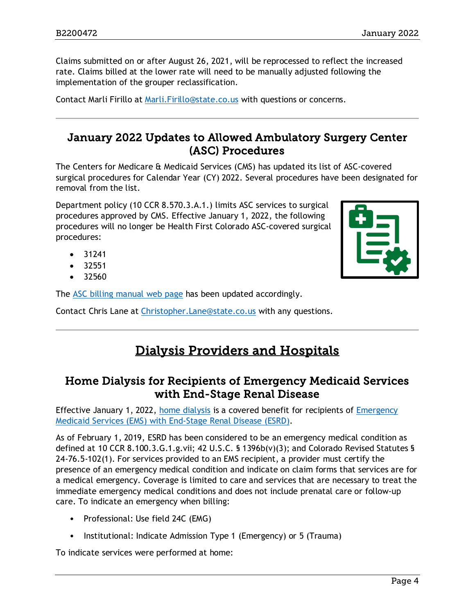Claims submitted on or after August 26, 2021, will be reprocessed to reflect the increased rate. Claims billed at the lower rate will need to be manually adjusted following the implementation of the grouper reclassification.

Contact Marli Firillo at [Marli.Firillo@state.co.us](mailto:Marli.Firillo@state.co.us) with questions or concerns.

### <span id="page-3-0"></span>January 2022 Updates to Allowed Ambulatory Surgery Center (ASC) Procedures

The Centers for Medicare & Medicaid Services (CMS) has updated its list of ASC-covered surgical procedures for Calendar Year (CY) 2022. Several procedures have been designated for removal from the list.

Department policy (10 CCR 8.570.3.A.1.) limits ASC services to surgical procedures approved by CMS. Effective January 1, 2022, the following procedures will no longer be Health First Colorado ASC-covered surgical procedures:

- 31241
- 32551
- 32560

The [ASC billing manual web page](https://hcpf.colorado.gov/asc-manual) has been updated accordingly.

<span id="page-3-2"></span>Contact Chris Lane at [Christopher.Lane@state.co.us](mailto:Christopher.Lane@state.co.us) with any questions.

# Dialysis Providers and Hospitals

### <span id="page-3-1"></span>Home Dialysis for Recipients of Emergency Medicaid Services with End-Stage Renal Disease

Effective January 1, 2022, [home dialysis](https://hcpf.colorado.gov/dialysis-manual#homeDial) is a covered benefit for recipients of Emergency [Medicaid Services \(EMS\) with End-Stage Renal Disease \(ESRD\).](https://hcpf.colorado.gov/dialysis-manual#emMedESRD)

As of February 1, 2019, ESRD has been considered to be an emergency medical condition as defined at 10 CCR 8.100.3.G.1.g.vii; 42 U.S.C. § 1396b(v)(3); and Colorado Revised Statutes § 24-76.5-102(1). For services provided to an EMS recipient, a provider must certify the presence of an emergency medical condition and indicate on claim forms that services are for a medical emergency. Coverage is limited to care and services that are necessary to treat the immediate emergency medical conditions and does not include prenatal care or follow-up care. To indicate an emergency when billing:

- Professional: Use field 24C (EMG)
- Institutional: Indicate Admission Type 1 (Emergency) or 5 (Trauma)

To indicate services were performed at home:

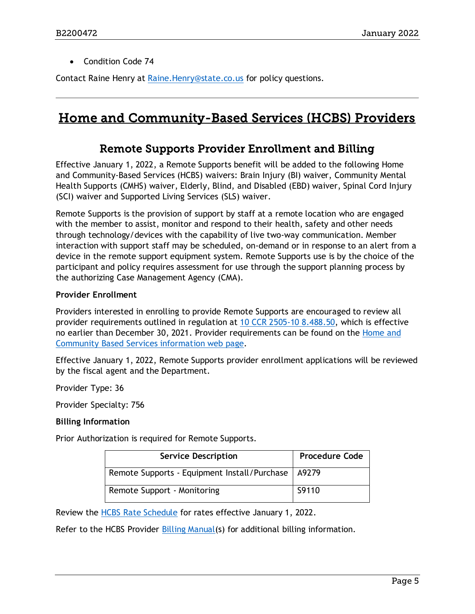• Condition Code 74

Contact Raine Henry at [Raine.Henry@state.co.us](mailto:Raine.Henry@state.co.us) for policy questions.

# <span id="page-4-1"></span><span id="page-4-0"></span>Home and Community-Based Services (HCBS) Providers

### Remote Supports Provider Enrollment and Billing

Effective January 1, 2022, a Remote Supports benefit will be added to the following Home and Community-Based Services (HCBS) waivers: Brain Injury (BI) waiver, Community Mental Health Supports (CMHS) waiver, Elderly, Blind, and Disabled (EBD) waiver, Spinal Cord Injury (SCI) waiver and Supported Living Services (SLS) waiver.

Remote Supports is the provision of support by staff at a remote location who are engaged with the member to assist, monitor and respond to their health, safety and other needs through technology/devices with the capability of live two-way communication. Member interaction with support staff may be scheduled, on-demand or in response to an alert from a device in the remote support equipment system. Remote Supports use is by the choice of the participant and policy requires assessment for use through the support planning process by the authorizing Case Management Agency (CMA).

#### **Provider Enrollment**

Providers interested in enrolling to provide Remote Supports are encouraged to review all provider requirements outlined in regulation at [10 CCR 2505-10 8.488.50,](https://www.sos.state.co.us/CCR/NumericalCCRDocList.do?deptID=7&agencyID=69) which is effective no earlier than December 30, 2021. Provider requirements can be found on the [Home and](https://hcpf.colorado.gov/information-hcbs-service-provided#servPro)  [Community Based Services information web page.](https://hcpf.colorado.gov/information-hcbs-service-provided#servPro)

Effective January 1, 2022, Remote Supports provider enrollment applications will be reviewed by the fiscal agent and the Department.

Provider Type: 36

Provider Specialty: 756

### **Billing Information**

Prior Authorization is required for Remote Supports.

| <b>Service Description</b>                           | <b>Procedure Code</b> |
|------------------------------------------------------|-----------------------|
| Remote Supports - Equipment Install/Purchase   A9279 |                       |
| Remote Support - Monitoring                          | S9110                 |

Review the [HCBS Rate Schedule](https://hcpf.colorado.gov/provider-rates-fee-schedule#HCBSRS) for rates effective January 1, 2022.

Refer to the HCBS Provider [Billing Manual\(](https://hcpf.colorado.gov/billing-manuals)s) for additional billing information.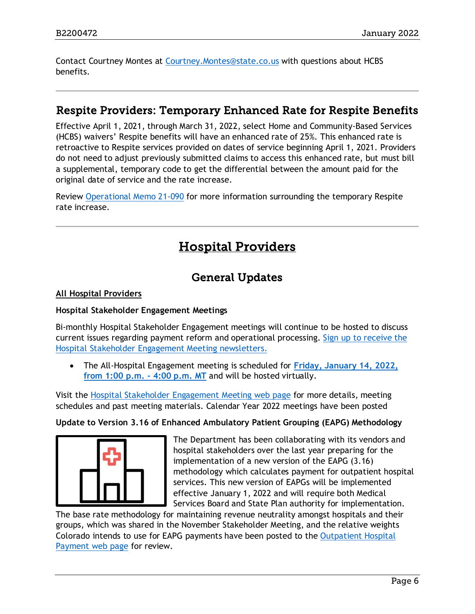Contact Courtney Montes at [Courtney.Montes@state.co.us](mailto:Courtney.Montes@state.co.us) with questions about HCBS benefits.

### <span id="page-5-0"></span>Respite Providers: Temporary Enhanced Rate for Respite Benefits

Effective April 1, 2021, through March 31, 2022, select Home and Community-Based Services (HCBS) waivers' Respite benefits will have an enhanced rate of 25%. This enhanced rate is retroactive to Respite services provided on dates of service beginning April 1, 2021. Providers do not need to adjust previously submitted claims to access this enhanced rate, but must bill a supplemental, temporary code to get the differential between the amount paid for the original date of service and the rate increase.

<span id="page-5-2"></span>Review [Operational Memo 21-090](https://hcpf.colorado.gov/sites/hcpf/files/HCPF%20OM%2021-090%20Temporary%20Enhanced%20Rate%20For%20The%20Home%20And%20Community-Based%20Services%20HCBS%20Waiver%20Respite%20Benefit%20.pdf) for more information surrounding the temporary Respite rate increase.

# Hospital Providers

# General Updates

### <span id="page-5-1"></span>**All Hospital Providers**

#### **Hospital Stakeholder Engagement Meetings**

Bi-monthly Hospital Stakeholder Engagement meetings will continue to be hosted to discuss current issues regarding payment reform and operational processing. [Sign up to receive the](https://visitor.r20.constantcontact.com/manage/optin?v=001HfxrbpGNWZ0lZnPp6t3PG2s9XPNl8ZvgFdjsKvSnhIy8z9JmHyp6DeoLJ3saT6x0SeqRR1ub149uoXxe1ok4jTzfMSQ0BN7S5vcLiRO7gdY%3D)  [Hospital Stakeholder Engagement Meeting newsletters.](https://visitor.r20.constantcontact.com/manage/optin?v=001HfxrbpGNWZ0lZnPp6t3PG2s9XPNl8ZvgFdjsKvSnhIy8z9JmHyp6DeoLJ3saT6x0SeqRR1ub149uoXxe1ok4jTzfMSQ0BN7S5vcLiRO7gdY%3D)

• The All-Hospital Engagement meeting is scheduled for **Friday, [January 14, 2022,](https://hcpf.colorado.gov/hospital-stakeholder-engagement-meetings)  [from 1:00 p.m. -](https://hcpf.colorado.gov/hospital-stakeholder-engagement-meetings) 4:00 p.m. MT** and will be hosted virtually.

Visit the [Hospital Stakeholder Engagement Meeting](https://hcpf.colorado.gov/hospital-stakeholder-engagement-meetings) web page for more details, meeting schedules and past meeting materials. Calendar Year 2022 meetings have been posted

#### **Update to Version 3.16 of Enhanced Ambulatory Patient Grouping (EAPG) Methodology**



The Department has been collaborating with its vendors and hospital stakeholders over the last year preparing for the implementation of a new version of the EAPG (3.16) methodology which calculates payment for outpatient hospital services. This new version of EAPGs will be implemented effective January 1, 2022 and will require both Medical Services Board and State Plan authority for implementation.

The base rate methodology for maintaining revenue neutrality amongst hospitals and their groups, which was shared in the November Stakeholder Meeting, and the relative weights Colorado intends to use for EAPG payments have been posted to the [Outpatient Hospital](https://hcpf.colorado.gov/outpatient-hospital-payment)  [Payment web page](https://hcpf.colorado.gov/outpatient-hospital-payment) for review.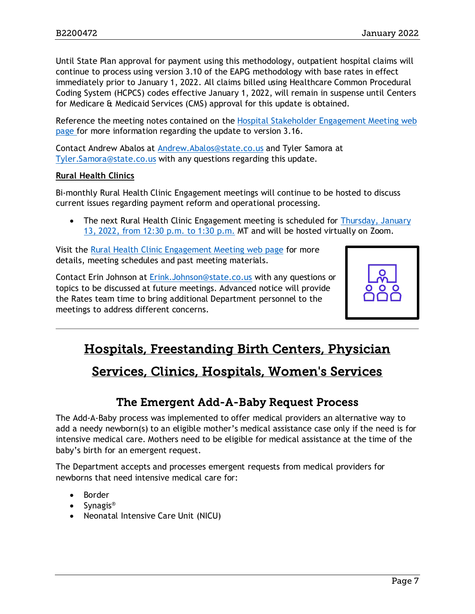Until State Plan approval for payment using this methodology, outpatient hospital claims will continue to process using version 3.10 of the EAPG methodology with base rates in effect immediately prior to January 1, 2022. All claims billed using Healthcare Common Procedural Coding System (HCPCS) codes effective January 1, 2022, will remain in suspense until Centers for Medicare & Medicaid Services (CMS) approval for this update is obtained.

Reference the meeting notes contained on the [Hospital Stakeholder Engagement Meeting](https://hcpf.colorado.gov/hospital-stakeholder-engagement-meetings) web [page](https://hcpf.colorado.gov/hospital-stakeholder-engagement-meetings) for more information regarding the update to version 3.16.

Contact Andrew Abalos at [Andrew.Abalos@state.co.us](mailto:Andrew.Abalos@state.co.us) and Tyler Samora at [Tyler.Samora@state.co.us](mailto:Tyler.Samora@state.co.us) with any questions regarding this update.

#### **Rural Health Clinics**

Bi-monthly Rural Health Clinic Engagement meetings will continue to be hosted to discuss current issues regarding payment reform and operational processing.

• The next Rural Health Clinic Engagement meeting is scheduled for Thursday, January [13, 2022, from 12:30 p.m. to 1:30 p.m.](https://hcpf.colorado.gov/rural-hospital-and-rural-health-clinics) MT and will be hosted virtually on Zoom.

Visit the [Rural Health Clinic Engagement Meeting](https://hcpf.colorado.gov/rural-hospital-and-rural-health-clinics) web page for more details, meeting schedules and past meeting materials.

Contact Erin Johnson at [Erink.Johnson@state.co.us](mailto:Erink.Johnson@state.co.us) with any questions or topics to be discussed at future meetings. Advanced notice will provide the Rates team time to bring additional Department personnel to the meetings to address different concerns.



# <span id="page-6-1"></span>Hospitals, Freestanding Birth Centers, Physician

# Services, Clinics, Hospitals, Women's Services

# The Emergent Add-A-Baby Request Process

<span id="page-6-0"></span>The Add-A-Baby process was implemented to offer medical providers an alternative way to add a needy newborn(s) to an eligible mother's medical assistance case only if the need is for intensive medical care. Mothers need to be eligible for medical assistance at the time of the baby's birth for an emergent request.

The Department accepts and processes emergent requests from medical providers for newborns that need intensive medical care for:

- **Border**
- Synagis®
- Neonatal Intensive Care Unit (NICU)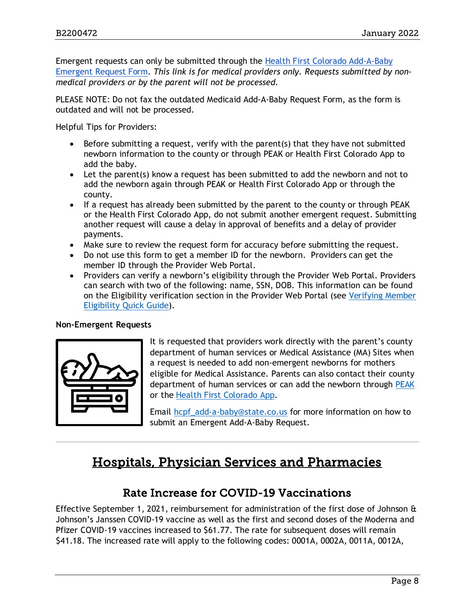Emergent requests can only be submitted through the [Health First Colorado Add-A-Baby](https://hcpf.colorado.gov/add-baby)  [Emergent Request Form.](https://hcpf.colorado.gov/add-baby) *This link is for medical providers only. Requests submitted by nonmedical providers or by the parent will not be processed.*

PLEASE NOTE: Do not fax the outdated Medicaid Add-A-Baby Request Form, as the form is outdated and will not be processed.

Helpful Tips for Providers:

- Before submitting a request, verify with the parent(s) that they have not submitted newborn information to the county or through PEAK or Health First Colorado App to add the baby.
- Let the parent(s) know a request has been submitted to add the newborn and not to add the newborn again through PEAK or Health First Colorado App or through the county.
- If a request has already been submitted by the parent to the county or through PEAK or the Health First Colorado App, do not submit another emergent request. Submitting another request will cause a delay in approval of benefits and a delay of provider payments.
- Make sure to review the request form for accuracy before submitting the request.
- Do not use this form to get a member ID for the newborn. Providers can get the member ID through the Provider Web Portal.
- Providers can verify a newborn's eligibility through the Provider Web Portal. Providers can search with two of the following: name, SSN, DOB. This information can be found on the Eligibility verification section in the Provider Web Portal (see [Verifying Member](https://hcpf.colorado.gov/verifying-eligibility-quickguide)  [Eligibility Quick Guide\)](https://hcpf.colorado.gov/verifying-eligibility-quickguide).

#### **Non-Emergent Requests**

It is requested that providers work directly with the parent's county department of human services or Medical Assistance (MA) Sites when a request is needed to add non-emergent newborns for mothers eligible for Medical Assistance. Parents can also contact their county department of human services or can add the newborn through [PEAK](https://peak--coloradopeak.force.com/peak/s/peak-landing-page?language=en_US) or the [Health First Colorado App.](https://www.healthfirstcolorado.com/mobileapp/)

Email [hcpf\\_add-a-baby@state.co.us](mailto:hcpf_add-a-baby@state.co.us) for more information on how to submit an Emergent Add-A-Baby Request.

# <span id="page-7-1"></span>Hospitals, Physician Services and Pharmacies

### Rate Increase for COVID-19 Vaccinations

<span id="page-7-0"></span>Effective September 1, 2021, reimbursement for administration of the first dose of Johnson & Johnson's Janssen COVID-19 vaccine as well as the first and second doses of the Moderna and Pfizer COVID-19 vaccines increased to \$61.77. The rate for subsequent doses will remain \$41.18. The increased rate will apply to the following codes: 0001A, 0002A, 0011A, 0012A,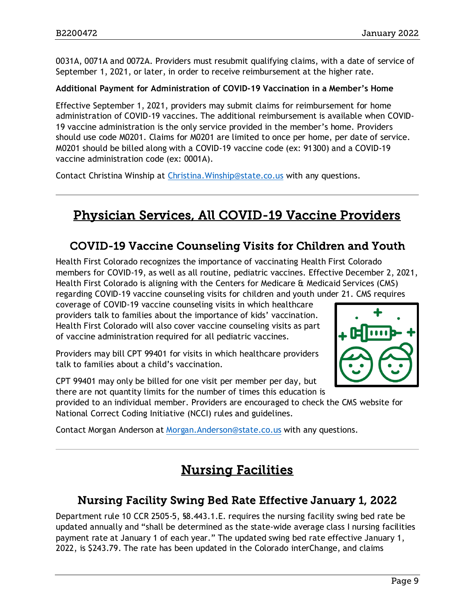0031A, 0071A and 0072A. Providers must resubmit qualifying claims, with a date of service of September 1, 2021, or later, in order to receive reimbursement at the higher rate.

#### **Additional Payment for Administration of COVID-19 Vaccination in a Member's Home**

Effective September 1, 2021, providers may submit claims for reimbursement for home administration of COVID-19 vaccines. The additional reimbursement is available when COVID-19 vaccine administration is the only service provided in the member's home. Providers should use code M0201. Claims for M0201 are limited to once per home, per date of service. M0201 should be billed along with a COVID-19 vaccine code (ex: 91300) and a COVID-19 vaccine administration code (ex: 0001A).

Contact Christina Winship at [Christina.Winship@state.co.us](mailto:Christina.Winship@state.co.us) with any questions.

# <span id="page-8-3"></span>Physician Services, All COVID-19 Vaccine Providers

### <span id="page-8-0"></span>COVID-19 Vaccine Counseling Visits for Children and Youth

Health First Colorado recognizes the importance of vaccinating Health First Colorado members for COVID-19, as well as all routine, pediatric vaccines. Effective December 2, 2021, Health First Colorado is aligning with the Centers for Medicare & Medicaid Services (CMS) regarding COVID-19 vaccine counseling visits for children and youth under 21. CMS requires

coverage of COVID-19 vaccine counseling visits in which healthcare providers talk to families about the importance of kids' vaccination. Health First Colorado will also cover vaccine counseling visits as part of vaccine administration required for all pediatric vaccines.

Providers may bill CPT 99401 for visits in which healthcare providers talk to families about a child's vaccination.

CPT 99401 may only be billed for one visit per member per day, but there are not quantity limits for the number of times this education is

provided to an individual member. Providers are encouraged to check the CMS website for National Correct Coding Initiative (NCCI) rules and guidelines.

<span id="page-8-2"></span>Contact Morgan Anderson at [Morgan.Anderson@state.co.us](mailto:Morgan.Anderson@state.co.us) with any questions.

# Nursing Facilities

### <span id="page-8-1"></span>Nursing Facility Swing Bed Rate Effective January 1, 2022

Department rule 10 CCR 2505-5, §8.443.1.E. requires the nursing facility swing bed rate be updated annually and "shall be determined as the state-wide average class I nursing facilities payment rate at January 1 of each year." The updated swing bed rate effective January 1, 2022, is \$243.79. The rate has been updated in the Colorado interChange, and claims

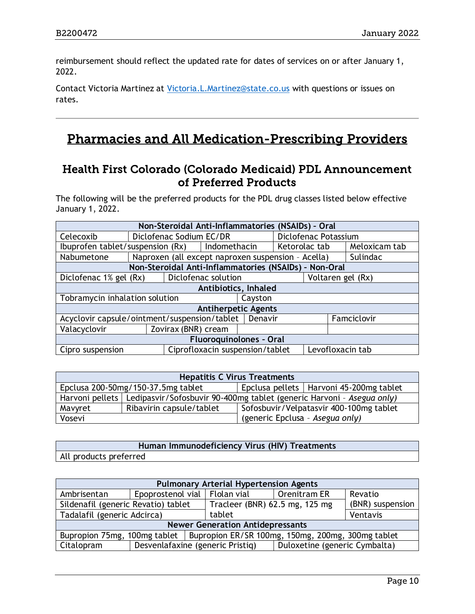reimbursement should reflect the updated rate for dates of services on or after January 1, 2022.

Contact Victoria Martinez at [Victoria.L.Martinez@state.co.us](mailto:Victoria.L.Martinez@state.co.us) with questions or issues on rates.

# <span id="page-9-1"></span>Pharmacies and All Medication-Prescribing Providers

### <span id="page-9-0"></span>Health First Colorado (Colorado Medicaid) PDL Announcement of Preferred Products

The following will be the preferred products for the PDL drug classes listed below effective January 1, 2022.

| Non-Steroidal Anti-Inflammatories (NSAIDs) - Oral |                                               |                                                       |                            |         |                      |  |  |                  |
|---------------------------------------------------|-----------------------------------------------|-------------------------------------------------------|----------------------------|---------|----------------------|--|--|------------------|
| Celecoxib                                         | Diclofenac Sodium EC/DR                       |                                                       |                            |         | Diclofenac Potassium |  |  |                  |
| Ibuprofen tablet/suspension (Rx)                  |                                               |                                                       | Indomethacin               |         | Ketorolac tab        |  |  | Meloxicam tab    |
| Nabumetone                                        |                                               | Naproxen (all except naproxen suspension - Acella)    |                            |         |                      |  |  | Sulindac         |
|                                                   |                                               | Non-Steroidal Anti-Inflammatories (NSAIDs) - Non-Oral |                            |         |                      |  |  |                  |
|                                                   | Diclofenac solution<br>Diclofenac 1% gel (Rx) |                                                       |                            |         | Voltaren gel (Rx)    |  |  |                  |
|                                                   | Antibiotics, Inhaled                          |                                                       |                            |         |                      |  |  |                  |
| Tobramycin inhalation solution                    |                                               |                                                       |                            | Cayston |                      |  |  |                  |
|                                                   |                                               |                                                       | <b>Antiherpetic Agents</b> |         |                      |  |  |                  |
| Acyclovir capsule/ointment/suspension/tablet      |                                               |                                                       |                            | Denavir |                      |  |  | Famciclovir      |
| Valacyclovir                                      |                                               |                                                       |                            |         |                      |  |  |                  |
| <b>Fluoroquinolones - Oral</b>                    |                                               |                                                       |                            |         |                      |  |  |                  |
| Cipro suspension                                  |                                               | Ciprofloxacin suspension/tablet                       |                            |         |                      |  |  | Levofloxacin tab |

| <b>Hepatitis C Virus Treatments</b>                                             |                                                                                         |                                         |  |  |  |  |
|---------------------------------------------------------------------------------|-----------------------------------------------------------------------------------------|-----------------------------------------|--|--|--|--|
| Epclusa pellets   Harvoni 45-200mg tablet<br>Epclusa 200-50mg/150-37.5mg tablet |                                                                                         |                                         |  |  |  |  |
|                                                                                 | Harvoni pellets   Ledipasvir/Sofosbuvir 90-400mg tablet (generic Harvoni - Asegua only) |                                         |  |  |  |  |
| Mavyret                                                                         | Ribavirin capsule/tablet                                                                | Sofosbuvir/Velpatasvir 400-100mg tablet |  |  |  |  |
| Vosevi                                                                          |                                                                                         | (generic Epclusa - Asegua only)         |  |  |  |  |

**Human Immunodeficiency Virus (HIV) Treatments** All products preferred

| <b>Pulmonary Arterial Hypertension Agents</b>                                    |                                                 |                                  |                               |                  |  |  |  |
|----------------------------------------------------------------------------------|-------------------------------------------------|----------------------------------|-------------------------------|------------------|--|--|--|
| Ambrisentan                                                                      | Epoprostenol vial   Flolan vial<br>Orenitram ER |                                  |                               | Revatio          |  |  |  |
| Sildenafil (generic Revatio) tablet                                              |                                                 | Tracleer (BNR) $62.5$ mg, 125 mg |                               | (BNR) suspension |  |  |  |
| Tadalafil (generic Adcirca)                                                      |                                                 | tablet                           | Ventavis                      |                  |  |  |  |
| <b>Newer Generation Antidepressants</b>                                          |                                                 |                                  |                               |                  |  |  |  |
| Bupropion 75mg, 100mg tablet   Bupropion ER/SR 100mg, 150mg, 200mg, 300mg tablet |                                                 |                                  |                               |                  |  |  |  |
| Citalopram                                                                       | Desvenlafaxine (generic Pristiq)                |                                  | Duloxetine (generic Cymbalta) |                  |  |  |  |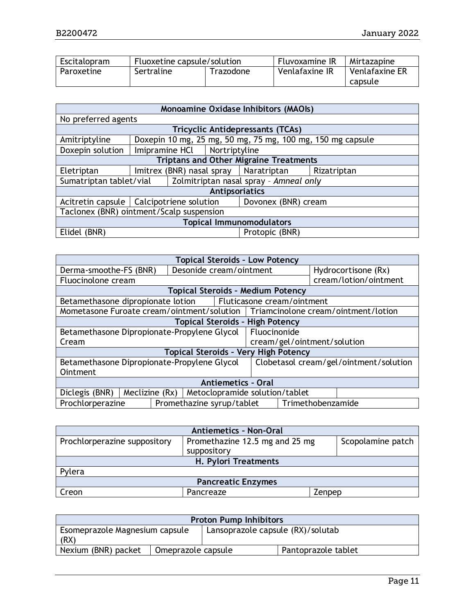| Escitalopram | Fluoxetine capsule/solution |  | <b>Fluvoxamine IR</b> | Mirtazapine    |
|--------------|-----------------------------|--|-----------------------|----------------|
| Paroxetine   | Sertraline<br>Trazodone     |  | Venlafaxine IR        | Venlafaxine ER |
|              |                             |  |                       | capsule        |

| Monoamine Oxidase Inhibitors (MAOIs)     |                                                                   |                  |               |                                                            |             |  |  |
|------------------------------------------|-------------------------------------------------------------------|------------------|---------------|------------------------------------------------------------|-------------|--|--|
| No preferred agents                      |                                                                   |                  |               |                                                            |             |  |  |
|                                          |                                                                   |                  |               | <b>Tricyclic Antidepressants (TCAs)</b>                    |             |  |  |
| Amitriptyline                            |                                                                   |                  |               | Doxepin 10 mg, 25 mg, 50 mg, 75 mg, 100 mg, 150 mg capsule |             |  |  |
| Doxepin solution                         |                                                                   | $Imipramine HCl$ | Nortriptyline |                                                            |             |  |  |
|                                          | <b>Triptans and Other Migraine Treatments</b>                     |                  |               |                                                            |             |  |  |
| Eletriptan                               |                                                                   |                  |               | Imitrex (BNR) nasal spray   Naratriptan                    | Rizatriptan |  |  |
| Sumatriptan tablet/vial                  |                                                                   |                  |               | Zolmitriptan nasal spray - Amneal only                     |             |  |  |
|                                          | <b>Antipsoriatics</b>                                             |                  |               |                                                            |             |  |  |
|                                          | Acitretin capsule   Calcipotriene solution<br>Dovonex (BNR) cream |                  |               |                                                            |             |  |  |
| Taclonex (BNR) ointment/Scalp suspension |                                                                   |                  |               |                                                            |             |  |  |
| <b>Topical Immunomodulators</b>          |                                                                   |                  |               |                                                            |             |  |  |
| Elidel (BNR)                             |                                                                   |                  |               | Protopic (BNR)                                             |             |  |  |

| <b>Topical Steroids - Low Potency</b>         |                                                  |  |                                                                                  |                                        |                            |                     |                       |
|-----------------------------------------------|--------------------------------------------------|--|----------------------------------------------------------------------------------|----------------------------------------|----------------------------|---------------------|-----------------------|
| Derma-smoothe-FS (BNR)                        |                                                  |  | Desonide cream/ointment                                                          |                                        |                            | Hydrocortisone (Rx) |                       |
| Fluocinolone cream                            |                                                  |  |                                                                                  |                                        |                            |                     | cream/lotion/ointment |
|                                               |                                                  |  | <b>Topical Steroids - Medium Potency</b>                                         |                                        |                            |                     |                       |
| Betamethasone dipropionate lotion             |                                                  |  |                                                                                  |                                        | Fluticasone cream/ointment |                     |                       |
|                                               |                                                  |  | Mometasone Furoate cream/ointment/solution   Triamcinolone cream/ointment/lotion |                                        |                            |                     |                       |
| <b>Topical Steroids - High Potency</b>        |                                                  |  |                                                                                  |                                        |                            |                     |                       |
| Betamethasone Dipropionate-Propylene Glycol   |                                                  |  |                                                                                  | Fluocinonide                           |                            |                     |                       |
| Cream                                         |                                                  |  |                                                                                  | cream/gel/ointment/solution            |                            |                     |                       |
|                                               |                                                  |  | <b>Topical Steroids - Very High Potency</b>                                      |                                        |                            |                     |                       |
| Betamethasone Dipropionate-Propylene Glycol   |                                                  |  |                                                                                  | Clobetasol cream/gel/ointment/solution |                            |                     |                       |
| Ointment                                      |                                                  |  |                                                                                  |                                        |                            |                     |                       |
| <b>Antiemetics - Oral</b>                     |                                                  |  |                                                                                  |                                        |                            |                     |                       |
| Diclegis (BNR)                                | Meclizine (Rx)<br>Metoclopramide solution/tablet |  |                                                                                  |                                        |                            |                     |                       |
| Prochlorperazine<br>Promethazine syrup/tablet |                                                  |  |                                                                                  |                                        | Trimethobenzamide          |                     |                       |

| <b>Antiemetics - Non-Oral</b> |                                |                   |  |  |  |  |
|-------------------------------|--------------------------------|-------------------|--|--|--|--|
| Prochlorperazine suppository  | Promethazine 12.5 mg and 25 mg | Scopolamine patch |  |  |  |  |
|                               | suppository                    |                   |  |  |  |  |
|                               | H. Pylori Treatments           |                   |  |  |  |  |
| Pylera                        |                                |                   |  |  |  |  |
| <b>Pancreatic Enzymes</b>     |                                |                   |  |  |  |  |
| Creon                         | Pancreaze                      | Zenpep            |  |  |  |  |

| <b>Proton Pump Inhibitors</b>          |                    |                                   |                     |  |  |
|----------------------------------------|--------------------|-----------------------------------|---------------------|--|--|
| Esomeprazole Magnesium capsule<br>(RX) |                    | Lansoprazole capsule (RX)/solutab |                     |  |  |
| Nexium (BNR) packet                    | Omeprazole capsule |                                   | Pantoprazole tablet |  |  |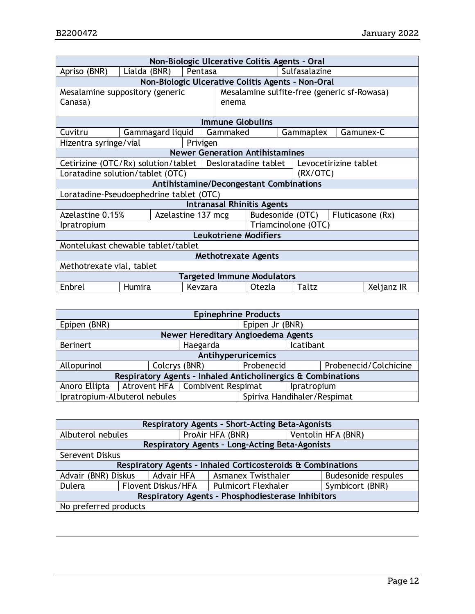| Non-Biologic Ulcerative Colitis Agents - Oral                                  |                                                            |                                         |                                   |                  |  |                       |           |            |
|--------------------------------------------------------------------------------|------------------------------------------------------------|-----------------------------------------|-----------------------------------|------------------|--|-----------------------|-----------|------------|
| Apriso (BNR)                                                                   | Lialda (BNR)                                               | Pentasa                                 |                                   |                  |  | Sulfasalazine         |           |            |
|                                                                                | Non-Biologic Ulcerative Colitis Agents - Non-Oral          |                                         |                                   |                  |  |                       |           |            |
| Mesalamine sulfite-free (generic sf-Rowasa)<br>Mesalamine suppository (generic |                                                            |                                         |                                   |                  |  |                       |           |            |
| Canasa)                                                                        |                                                            |                                         | enema                             |                  |  |                       |           |            |
|                                                                                |                                                            |                                         |                                   |                  |  |                       |           |            |
|                                                                                |                                                            |                                         | <b>Immune Globulins</b>           |                  |  |                       |           |            |
| Cuvitru                                                                        | Gammagard liquid                                           |                                         | Gammaked                          |                  |  | Gammaplex             | Gamunex-C |            |
| Hizentra syringe/vial                                                          |                                                            | Privigen                                |                                   |                  |  |                       |           |            |
|                                                                                |                                                            | <b>Newer Generation Antihistamines</b>  |                                   |                  |  |                       |           |            |
|                                                                                | Cetirizine (OTC/Rx) solution/tablet   Desloratadine tablet |                                         |                                   |                  |  | Levocetirizine tablet |           |            |
|                                                                                | Loratadine solution/tablet (OTC)                           |                                         |                                   |                  |  | (RX/OTC)              |           |            |
|                                                                                |                                                            | Antihistamine/Decongestant Combinations |                                   |                  |  |                       |           |            |
|                                                                                | Loratadine-Pseudoephedrine tablet (OTC)                    |                                         |                                   |                  |  |                       |           |            |
|                                                                                |                                                            |                                         | <b>Intranasal Rhinitis Agents</b> |                  |  |                       |           |            |
| Azelastine 0.15%                                                               |                                                            | Azelastine 137 mcg                      |                                   | Budesonide (OTC) |  | Fluticasone (Rx)      |           |            |
| <i>Ipratropium</i>                                                             |                                                            |                                         |                                   |                  |  | Triamcinolone (OTC)   |           |            |
| <b>Leukotriene Modifiers</b>                                                   |                                                            |                                         |                                   |                  |  |                       |           |            |
| Montelukast chewable tablet/tablet                                             |                                                            |                                         |                                   |                  |  |                       |           |            |
| <b>Methotrexate Agents</b>                                                     |                                                            |                                         |                                   |                  |  |                       |           |            |
| Methotrexate vial, tablet                                                      |                                                            |                                         |                                   |                  |  |                       |           |            |
| <b>Targeted Immune Modulators</b>                                              |                                                            |                                         |                                   |                  |  |                       |           |            |
| Enbrel                                                                         | Humira                                                     | Kevzara                                 |                                   | Otezla           |  | Taltz                 |           | Xeljanz IR |

| <b>Epinephrine Products</b>                                  |                                                  |  |            |  |                       |
|--------------------------------------------------------------|--------------------------------------------------|--|------------|--|-----------------------|
| Epipen (BNR)                                                 | Epipen Jr (BNR)                                  |  |            |  |                       |
| Newer Hereditary Angioedema Agents                           |                                                  |  |            |  |                       |
| <b>Berinert</b>                                              | Icatibant<br>Haegarda                            |  |            |  |                       |
| Antihyperuricemics                                           |                                                  |  |            |  |                       |
| Allopurinol                                                  | Colcrys (BNR)                                    |  | Probenecid |  | Probenecid/Colchicine |
| Respiratory Agents - Inhaled Anticholinergics & Combinations |                                                  |  |            |  |                       |
| Anoro Ellipta                                                | Atrovent HFA   Combivent Respimat<br>Ipratropium |  |            |  |                       |
| Ipratropium-Albuterol nebules<br>Spiriva Handihaler/Respimat |                                                  |  |            |  |                       |

| Respiratory Agents - Short-Acting Beta-Agonists             |                                                                                              |                     |                                                |                 |                    |
|-------------------------------------------------------------|----------------------------------------------------------------------------------------------|---------------------|------------------------------------------------|-----------------|--------------------|
| Albuterol nebules                                           |                                                                                              |                     | ProAir HFA (BNR)                               |                 | Ventolin HFA (BNR) |
|                                                             |                                                                                              |                     | Respiratory Agents - Long-Acting Beta-Agonists |                 |                    |
|                                                             | Serevent Diskus                                                                              |                     |                                                |                 |                    |
| Respiratory Agents - Inhaled Corticosteroids & Combinations |                                                                                              |                     |                                                |                 |                    |
|                                                             | Advair HFA<br>Advair (BNR) Diskus<br><b>Budesonide respules</b><br><b>Asmanex Twisthaler</b> |                     |                                                |                 |                    |
| Flovent Diskus/HFA<br>Dulera                                |                                                                                              | Pulmicort Flexhaler |                                                | Symbicort (BNR) |                    |
| Respiratory Agents - Phosphodiesterase Inhibitors           |                                                                                              |                     |                                                |                 |                    |
| No preferred products                                       |                                                                                              |                     |                                                |                 |                    |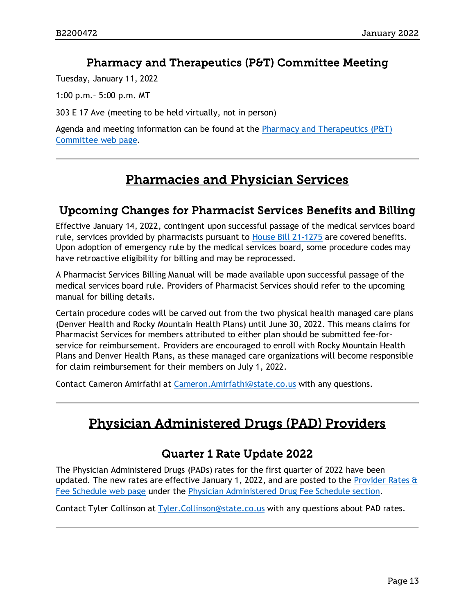### Pharmacy and Therapeutics (P&T) Committee Meeting

<span id="page-12-0"></span>Tuesday, January 11, 2022

1:00 p.m.– 5:00 p.m. MT

303 E 17 Ave (meeting to be held virtually, not in person)

Agenda and meeting information can be found at the [Pharmacy and Therapeutics \(P&T\)](https://hcpf.colorado.gov/pharmacy-and-therapeutics-committee)  [Committee web page.](https://hcpf.colorado.gov/pharmacy-and-therapeutics-committee)

# Pharmacies and Physician Services

### <span id="page-12-3"></span><span id="page-12-1"></span>Upcoming Changes for Pharmacist Services Benefits and Billing

Effective January 14, 2022, contingent upon successful passage of the medical services board rule, services provided by pharmacists pursuant to [House Bill 21-1275](https://www.statebillinfo.com/bills/bills/21/2021a_1275_signed.pdf) are covered benefits. Upon adoption of emergency rule by the medical services board, some procedure codes may have retroactive eligibility for billing and may be reprocessed.

A Pharmacist Services Billing Manual will be made available upon successful passage of the medical services board rule. Providers of Pharmacist Services should refer to the upcoming manual for billing details.

Certain procedure codes will be carved out from the two physical health managed care plans (Denver Health and Rocky Mountain Health Plans) until June 30, 2022. This means claims for Pharmacist Services for members attributed to either plan should be submitted fee-forservice for reimbursement. Providers are encouraged to enroll with Rocky Mountain Health Plans and Denver Health Plans, as these managed care organizations will become responsible for claim reimbursement for their members on July 1, 2022.

<span id="page-12-4"></span>Contact Cameron Amirfathi at [Cameron.Amirfathi@state.co.us](mailto:Cameron.Amirfathi@state.co.us) with any questions.

# Physician Administered Drugs (PAD) Providers

### Quarter 1 Rate Update 2022

<span id="page-12-2"></span>The Physician Administered Drugs (PADs) rates for the first quarter of 2022 have been updated. The new rates are effective January 1, 2022, and are posted to the Provider Rates & [Fee Schedule web page](https://hcpf.colorado.gov/provider-rates-fee-schedule) under the [Physician Administered Drug Fee Schedule section.](https://hcpf.colorado.gov/provider-rates-fee-schedule#padFee)

Contact Tyler Collinson at [Tyler.Collinson@state.co.us](mailto:Tyler.Collinson@state.co.us) with any questions about PAD rates.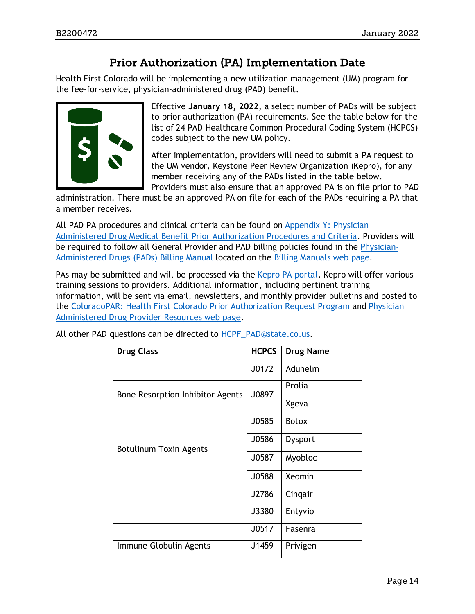# Prior Authorization (PA) Implementation Date

<span id="page-13-0"></span>Health First Colorado will be implementing a new utilization management (UM) program for the fee-for-service, physician-administered drug (PAD) benefit.



Effective **January 18, 2022**, a select number of PADs will be subject to prior authorization (PA) requirements. See the table below for the list of 24 PAD Healthcare Common Procedural Coding System (HCPCS) codes subject to the new UM policy.

After implementation, providers will need to submit a PA request to the UM vendor, Keystone Peer Review Organization (Kepro), for any member receiving any of the PADs listed in the table below. Providers must also ensure that an approved PA is on file prior to PAD

administration. There must be an approved PA on file for each of the PADs requiring a PA that a member receives.

All PAD PA procedures and clinical criteria can be found on Appendix Y: Physician [Administered Drug Medical Benefit Prior Authorization Procedures and Criteria.](https://hcpf.colorado.gov/physician-administered-drugs) Providers will be required to follow all General Provider and PAD billing policies found in the [Physician-](https://hcpf.colorado.gov/pad-manual)[Administered Drugs \(PADs\)](https://hcpf.colorado.gov/pad-manual) Billing Manual located on the [Billing Manuals web page.](https://hcpf.colorado.gov/billing-manuals)

PAs may be submitted and will be processed via the [Kepro PA portal.](https://portal.kepro.com/) Kepro will offer various training sessions to providers. Additional information, including pertinent training information, will be sent via email, newsletters, and monthly provider bulletins and posted to the [ColoradoPAR: Health First Colorado Prior Authorization Request Program](https://hcpf.colorado.gov/par) and [Physician](https://hcpf.colorado.gov/physician-administered-drugs)  [Administered Drug Provider Resources web page.](https://hcpf.colorado.gov/physician-administered-drugs)

| <b>Drug Class</b>                | <b>HCPCS</b> | <b>Drug Name</b> |
|----------------------------------|--------------|------------------|
|                                  | J0172        | Aduhelm          |
| Bone Resorption Inhibitor Agents | J0897        | Prolia           |
|                                  |              | Xgeva            |
|                                  | J0585        | <b>Botox</b>     |
| <b>Botulinum Toxin Agents</b>    | J0586        | Dysport          |
|                                  | J0587        | Myobloc          |
|                                  | J0588        | Xeomin           |
|                                  | J2786        | Cingair          |
|                                  | J3380        | Entyvio          |
|                                  | J0517        | Fasenra          |
| Immune Globulin Agents           | J1459        | Privigen         |

All other PAD questions can be directed to [HCPF\\_PAD@state.co.us.](mailto:HCPF_PAD@state.co.us)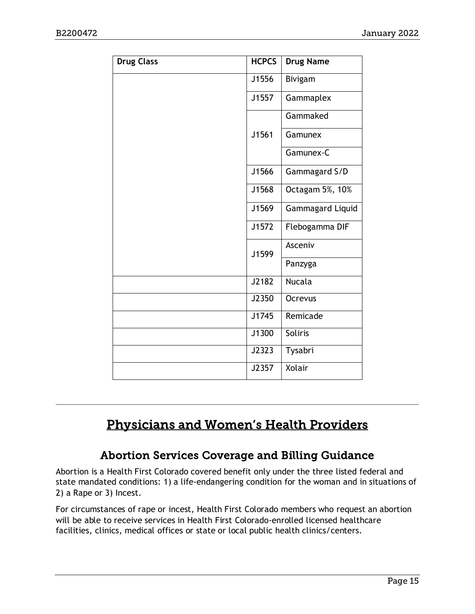| <b>Drug Class</b> | <b>HCPCS</b> | <b>Drug Name</b> |
|-------------------|--------------|------------------|
|                   | J1556        | Bivigam          |
|                   | J1557        | Gammaplex        |
|                   |              | Gammaked         |
|                   | J1561        | Gamunex          |
|                   |              | Gamunex-C        |
|                   | J1566        | Gammagard S/D    |
|                   | J1568        | Octagam 5%, 10%  |
|                   | J1569        | Gammagard Liquid |
|                   | J1572        | Flebogamma DIF   |
|                   | J1599        | Asceniv          |
|                   |              | Panzyga          |
|                   | J2182        | <b>Nucala</b>    |
|                   | J2350        | Ocrevus          |
|                   | J1745        | Remicade         |
|                   | J1300        | Soliris          |
|                   | J2323        | Tysabri          |
|                   | J2357        | Xolair           |

# <span id="page-14-1"></span>Physicians and Women's Health Providers

# Abortion Services Coverage and Billing Guidance

<span id="page-14-0"></span>Abortion is a Health First Colorado covered benefit only under the three listed federal and state mandated conditions: 1) a life-endangering condition for the woman and in situations of 2) a Rape or 3) Incest.

For circumstances of rape or incest, Health First Colorado members who request an abortion will be able to receive services in Health First Colorado-enrolled licensed healthcare facilities, clinics, medical offices or state or local public health clinics/centers.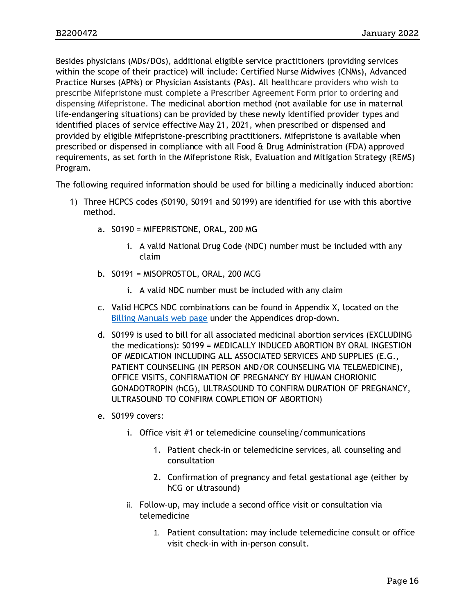Besides physicians (MDs/DOs), additional eligible service practitioners (providing services within the scope of their practice) will include: Certified Nurse Midwives (CNMs), Advanced Practice Nurses (APNs) or Physician Assistants (PAs). All healthcare providers who wish to prescribe Mifepristone must complete a Prescriber Agreement Form prior to ordering and dispensing Mifepristone. The medicinal abortion method (not available for use in maternal life-endangering situations) can be provided by these newly identified provider types and identified places of service effective May 21, 2021, when prescribed or dispensed and provided by eligible Mifepristone-prescribing practitioners. Mifepristone is available when prescribed or dispensed in compliance with all Food & Drug Administration (FDA) approved requirements, as set forth in the Mifepristone Risk, Evaluation and Mitigation Strategy (REMS) Program.

The following required information should be used for billing a medicinally induced abortion:

- 1) Three HCPCS codes (S0190, S0191 and S0199) are identified for use with this abortive method.
	- a. S0190 = MIFEPRISTONE, ORAL, 200 MG
		- i. A valid National Drug Code (NDC) number must be included with any claim
	- b. S0191 = MISOPROSTOL, ORAL, 200 MCG
		- i. A valid NDC number must be included with any claim
	- c. Valid HCPCS NDC combinations can be found in Appendix X, located on the Billing [Manuals web page](https://hcpf.colorado.gov/billing-manuals) under the Appendices drop-down.
	- d. S0199 is used to bill for all associated medicinal abortion services (EXCLUDING the medications): S0199 = MEDICALLY INDUCED ABORTION BY ORAL INGESTION OF MEDICATION INCLUDING ALL ASSOCIATED SERVICES AND SUPPLIES (E.G., PATIENT COUNSELING (IN PERSON AND/OR COUNSELING VIA TELEMEDICINE), OFFICE VISITS, CONFIRMATION OF PREGNANCY BY HUMAN CHORIONIC GONADOTROPIN (hCG), ULTRASOUND TO CONFIRM DURATION OF PREGNANCY, ULTRASOUND TO CONFIRM COMPLETION OF ABORTION)
	- e. S0199 covers:
		- i. Office visit #1 or telemedicine counseling/communications
			- 1. Patient check-in or telemedicine services, all counseling and consultation
			- 2. Confirmation of pregnancy and fetal gestational age (either by hCG or ultrasound)
		- ii. Follow-up, may include a second office visit or consultation via telemedicine
			- 1. Patient consultation: may include telemedicine consult or office visit check-in with in-person consult.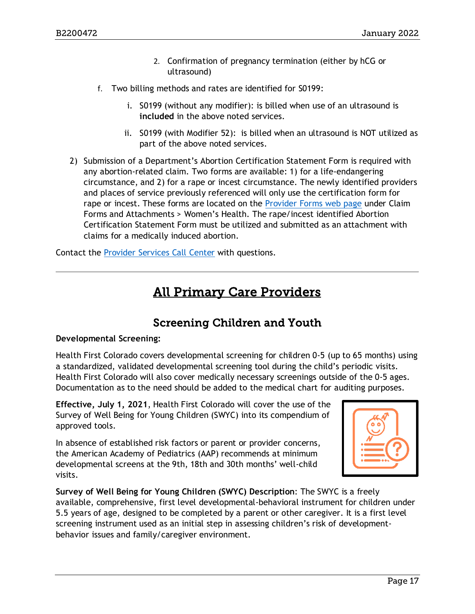- 2. Confirmation of pregnancy termination (either by hCG or ultrasound)
- f. Two billing methods and rates are identified for S0199:
	- i. S0199 (without any modifier): is billed when use of an ultrasound is **included** in the above noted services.
	- ii. S0199 (with Modifier 52): is billed when an ultrasound is NOT utilized as part of the above noted services.
- 2) Submission of a Department's Abortion Certification Statement Form is required with any abortion-related claim. Two forms are available: 1) for a life-endangering circumstance, and 2) for a rape or incest circumstance. The newly identified providers and places of service previously referenced will only use the certification form for rape or incest. These forms are located on the [Provider Forms web page](https://hcpf.colorado.gov/provider-forms) under Claim Forms and Attachments > Women's Health. The rape/incest identified Abortion Certification Statement Form must be utilized and submitted as an attachment with claims for a medically induced abortion.

<span id="page-16-1"></span>Contact the [Provider Services Call Center](https://hcpf.colorado.gov/provider-help) with questions.

# All Primary Care Providers

# Screening Children and Youth

### <span id="page-16-0"></span>**Developmental Screening:**

Health First Colorado covers developmental screening for children 0-5 (up to 65 months) using a standardized, validated developmental screening tool during the child's periodic visits. Health First Colorado will also cover medically necessary screenings outside of the 0-5 ages. Documentation as to the need should be added to the medical chart for auditing purposes.

**Effective, July 1, 2021**, Health First Colorado will cover the use of the Survey of Well Being for Young Children (SWYC) into its compendium of approved tools.

In absence of established risk factors or parent or provider concerns, the American Academy of Pediatrics (AAP) recommends at minimum developmental screens at the 9th, 18th and 30th months' well-child visits.



**Survey of Well Being for Young Children (SWYC) Description**: The SWYC is a freely available, comprehensive, first level developmental-behavioral instrument for children under 5.5 years of age, designed to be completed by a parent or other caregiver. It is a first level screening instrument used as an initial step in assessing children's risk of developmentbehavior issues and family/caregiver environment.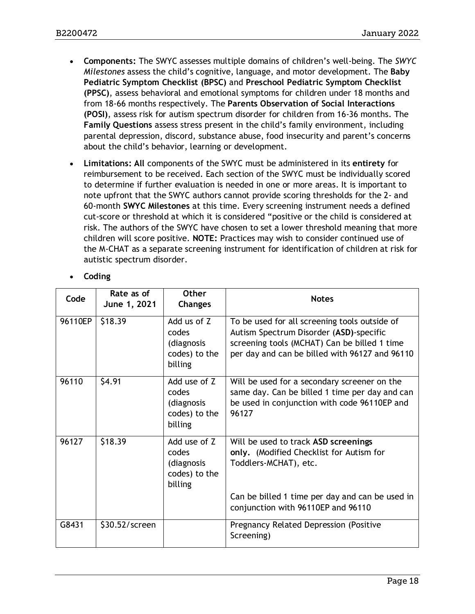- **Components:** The SWYC assesses multiple domains of children's well-being. The *SWYC Milestones* assess the child's cognitive, language, and motor development. The **Baby Pediatric Symptom Checklist (BPSC)** and **Preschool Pediatric Symptom Checklist (PPSC)**, assess behavioral and emotional symptoms for children under 18 months and from 18-66 months respectively. The **Parents Observation of Social Interactions (POSI)**, assess risk for autism spectrum disorder for children from 16-36 months. The **Family Questions** assess stress present in the child's family environment, including parental depression, discord, substance abuse, food insecurity and parent's concerns about the child's behavior, learning or development.
- **Limitations: All** components of the SWYC must be administered in its **entirety** for reimbursement to be received. Each section of the SWYC must be individually scored to determine if further evaluation is needed in one or more areas. It is important to note upfront that the SWYC authors cannot provide scoring thresholds for the 2- and 60-month **SWYC Milestones** at this time. Every screening instrument needs a defined cut-score or threshold at which it is considered "positive or the child is considered at risk. The authors of the SWYC have chosen to set a lower threshold meaning that more children will score positive. **NOTE:** Practices may wish to consider continued use of the M-CHAT as a separate screening instrument for identification of children at risk for autistic spectrum disorder.

| Code    | Rate as of<br>June 1, 2021 | <b>Other</b><br><b>Changes</b>                                  | <b>Notes</b>                                                                                                                                                                                       |
|---------|----------------------------|-----------------------------------------------------------------|----------------------------------------------------------------------------------------------------------------------------------------------------------------------------------------------------|
| 96110EP | \$18.39                    | Add us of Z<br>codes<br>(diagnosis<br>codes) to the<br>billing  | To be used for all screening tools outside of<br>Autism Spectrum Disorder (ASD)-specific<br>screening tools (MCHAT) Can be billed 1 time<br>per day and can be billed with 96127 and 96110         |
| 96110   | \$4.91                     | Add use of Z<br>codes<br>(diagnosis<br>codes) to the<br>billing | Will be used for a secondary screener on the<br>same day. Can be billed 1 time per day and can<br>be used in conjunction with code 96110EP and<br>96127                                            |
| 96127   | \$18.39                    | Add use of Z<br>codes<br>(diagnosis<br>codes) to the<br>billing | Will be used to track ASD screenings<br>only. (Modified Checklist for Autism for<br>Toddlers-MCHAT), etc.<br>Can be billed 1 time per day and can be used in<br>conjunction with 96110EP and 96110 |
| G8431   | \$30.52/screen             |                                                                 | Pregnancy Related Depression (Positive<br>Screening)                                                                                                                                               |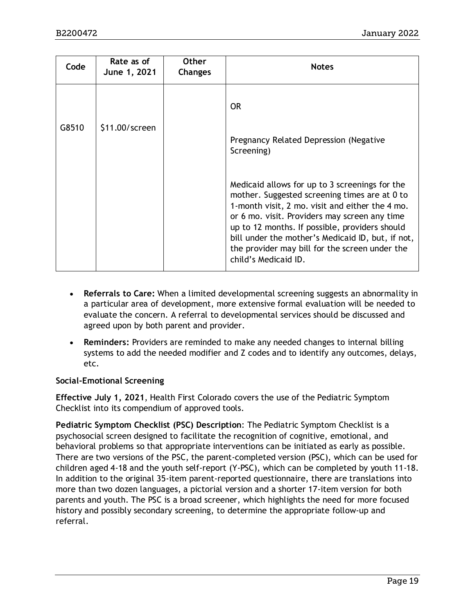| Code  | Rate as of<br>June 1, 2021 | <b>Other</b><br><b>Changes</b> | <b>Notes</b>                                                                                                                                                                                                                                                                                                                                                                         |
|-------|----------------------------|--------------------------------|--------------------------------------------------------------------------------------------------------------------------------------------------------------------------------------------------------------------------------------------------------------------------------------------------------------------------------------------------------------------------------------|
| G8510 | \$11.00/screen             |                                | OR.<br>Pregnancy Related Depression (Negative<br>Screening)                                                                                                                                                                                                                                                                                                                          |
|       |                            |                                | Medicaid allows for up to 3 screenings for the<br>mother. Suggested screening times are at 0 to<br>1-month visit, 2 mo. visit and either the 4 mo.<br>or 6 mo. visit. Providers may screen any time<br>up to 12 months. If possible, providers should<br>bill under the mother's Medicaid ID, but, if not,<br>the provider may bill for the screen under the<br>child's Medicaid ID. |

- **Referrals to Care:** When a limited developmental screening suggests an abnormality in a particular area of development, more extensive formal evaluation will be needed to evaluate the concern. A referral to developmental services should be discussed and agreed upon by both parent and provider.
- **Reminders:** Providers are reminded to make any needed changes to internal billing systems to add the needed modifier and Z codes and to identify any outcomes, delays, etc.

#### **Social-Emotional Screening**

**Effective July 1, 2021**, Health First Colorado covers the use of the Pediatric Symptom Checklist into its compendium of approved tools.

**Pediatric Symptom Checklist (PSC) Description**: The Pediatric Symptom Checklist is a psychosocial screen designed to facilitate the recognition of cognitive, emotional, and behavioral problems so that appropriate interventions can be initiated as early as possible. There are two versions of the PSC, the parent-completed version (PSC), which can be used for children aged 4-18 and the youth self-report (Y-PSC), which can be completed by youth 11-18. In addition to the original 35-item parent-reported questionnaire, there are translations into more than two dozen languages, a pictorial version and a shorter 17-item version for both parents and youth. The PSC is a broad screener, which highlights the need for more focused history and possibly secondary screening, to determine the appropriate follow-up and referral.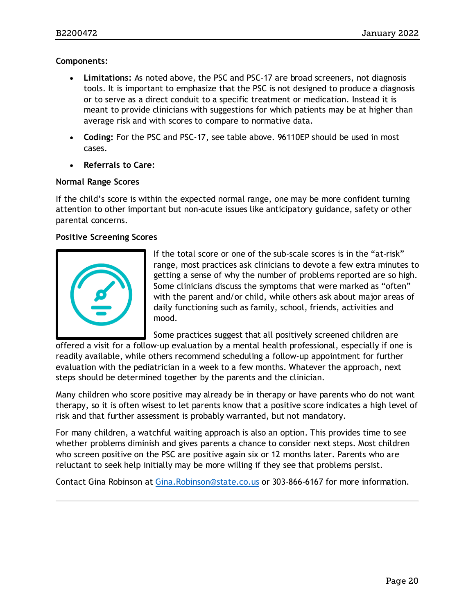#### **Components:**

- **Limitations:** As noted above, the PSC and PSC-17 are broad screeners, not diagnosis tools. It is important to emphasize that the PSC is not designed to produce a diagnosis or to serve as a direct conduit to a specific treatment or medication. Instead it is meant to provide clinicians with suggestions for which patients may be at higher than average risk and with scores to compare to normative data.
- **Coding:** For the PSC and PSC-17, see table above. 96110EP should be used in most cases.
- **Referrals to Care:**

#### **Normal Range Scores**

If the child's score is within the expected normal range, one may be more confident turning attention to other important but non-acute issues like anticipatory guidance, safety or other parental concerns.

#### **Positive Screening Scores**



If the total score or one of the sub-scale scores is in the "at-risk" range, most practices ask clinicians to devote a few extra minutes to getting a sense of why the number of problems reported are so high. Some clinicians discuss the symptoms that were marked as "often" with the parent and/or child, while others ask about major areas of daily functioning such as family, school, friends, activities and mood.

Some practices suggest that all positively screened children are

offered a visit for a follow-up evaluation by a mental health professional, especially if one is readily available, while others recommend scheduling a follow-up appointment for further evaluation with the pediatrician in a week to a few months. Whatever the approach, next steps should be determined together by the parents and the clinician.

Many children who score positive may already be in therapy or have parents who do not want therapy, so it is often wisest to let parents know that a positive score indicates a high level of risk and that further assessment is probably warranted, but not mandatory.

For many children, a watchful waiting approach is also an option. This provides time to see whether problems diminish and gives parents a chance to consider next steps. Most children who screen positive on the PSC are positive again six or 12 months later. Parents who are reluctant to seek help initially may be more willing if they see that problems persist.

Contact Gina Robinson at [Gina.Robinson@state.co.us](mailto:Gina.Robinson@state.co.us) or 303-866-6167 for more information.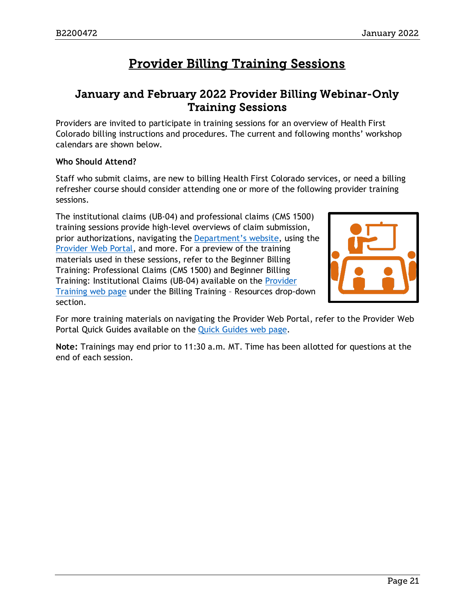# Provider Billing Training Sessions

### <span id="page-20-1"></span><span id="page-20-0"></span>January and February 2022 Provider Billing Webinar-Only Training Sessions

Providers are invited to participate in training sessions for an overview of Health First Colorado billing instructions and procedures. The current and following months' workshop calendars are shown below.

### **Who Should Attend?**

Staff who submit claims, are new to billing Health First Colorado services, or need a billing refresher course should consider attending one or more of the following provider training sessions.

The institutional claims (UB-04) and professional claims (CMS 1500) training sessions provide high-level overviews of claim submission, prior authorizations, navigating the [Department's website,](https://www.colorado.gov/hcpf/) using the [Provider Web Portal,](https://colorado-hcp-portal.xco.dcs-usps.com/hcp/provider/Home/tabid/135/Default.aspx) and more. For a preview of the training materials used in these sessions, refer to the Beginner Billing Training: Professional Claims (CMS 1500) and Beginner Billing Training: Institutional Claims (UB-04) available on the [Provider](https://www.colorado.gov/pacific/hcpf/provider-training)  [Training web page](https://www.colorado.gov/pacific/hcpf/provider-training) under the Billing Training – Resources drop-down section.



For more training materials on navigating the Provider Web Portal, refer to the Provider Web Portal Quick Guides available on the [Quick Guides web page.](https://www.colorado.gov/hcpf/interchange-resources)

**Note:** Trainings may end prior to 11:30 a.m. MT. Time has been allotted for questions at the end of each session.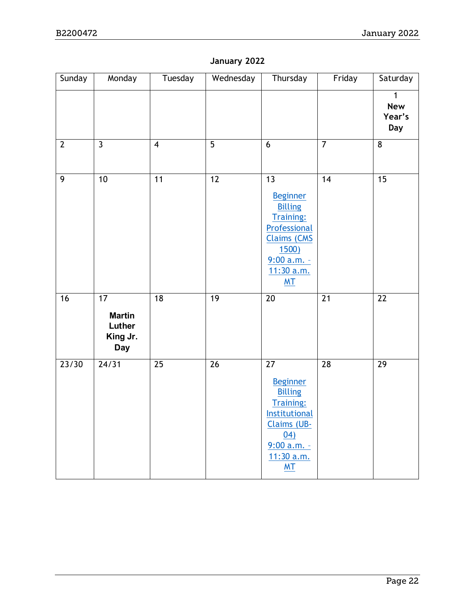### **January 2022**

| Sunday          | Monday                                                  | Tuesday                 | Wednesday       | Thursday                                                                                                                                                             | Friday          | Saturday                                    |
|-----------------|---------------------------------------------------------|-------------------------|-----------------|----------------------------------------------------------------------------------------------------------------------------------------------------------------------|-----------------|---------------------------------------------|
|                 |                                                         |                         |                 |                                                                                                                                                                      |                 | $\mathbf{1}$<br><b>New</b><br>Year's<br>Day |
| $\mathbf{2}$    | $\overline{3}$                                          | $\overline{\mathbf{4}}$ | $\overline{5}$  | $\overline{6}$                                                                                                                                                       | $\overline{7}$  | $\overline{8}$                              |
| 9               | 10                                                      | 11                      | $\overline{12}$ | $\overline{13}$<br><b>Beginner</b><br><b>Billing</b><br><b>Training:</b><br>Professional<br><b>Claims (CMS</b><br>1500)<br>9:00 a.m.<br>11:30 a.m.<br>M <sub>T</sub> | $\overline{14}$ | $\overline{15}$                             |
| $\overline{16}$ | 17<br><b>Martin</b><br>Luther<br>King Jr.<br><b>Day</b> | $\overline{18}$         | 19              | $\overline{20}$                                                                                                                                                      | $\overline{21}$ | $\overline{22}$                             |
| 23/30           | $\frac{24}{31}$                                         | 25                      | $\overline{26}$ | $\overline{27}$<br><b>Beginner</b><br><b>Billing</b><br><b>Training:</b><br>Institutional<br><b>Claims (UB-</b><br>04)<br>9:00 a.m. -<br>11:30 a.m.<br>MT            | $\overline{28}$ | $\overline{29}$                             |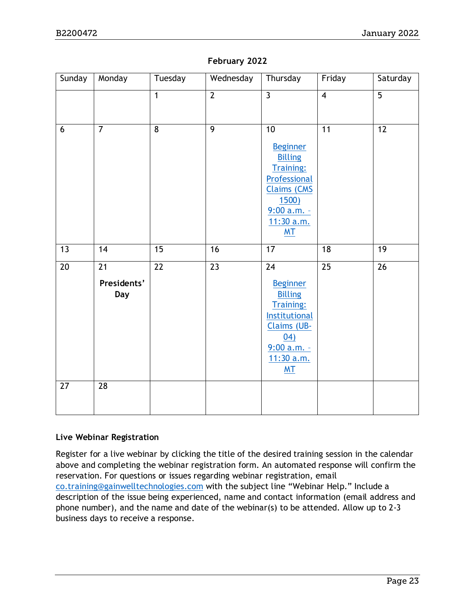| Sunday          | Monday                                       | Tuesday        | Wednesday      | Thursday                                                                                                                                                   | Friday          | Saturday       |
|-----------------|----------------------------------------------|----------------|----------------|------------------------------------------------------------------------------------------------------------------------------------------------------------|-----------------|----------------|
|                 |                                              | $\overline{1}$ | $\overline{2}$ | $\overline{3}$                                                                                                                                             | $\overline{4}$  | $\overline{5}$ |
| $6\phantom{1}6$ | $\overline{7}$                               | 8              | $\overline{9}$ | 10<br><b>Beginner</b><br><b>Billing</b><br><b>Training:</b><br>Professional<br><b>Claims (CMS</b><br>1500)<br>$9:00 a.m. -$<br>11:30 a.m.<br>MT            | 11              | 12             |
| 13              | 14                                           | 15             | 16             | 17                                                                                                                                                         | 18              | 19             |
| 20              | $\overline{21}$<br>Presidents'<br><b>Day</b> | 22             | 23             | 24<br><b>Beginner</b><br><b>Billing</b><br><b>Training:</b><br>Institutional<br><b>Claims (UB-</b><br>04)<br>$9:00 a.m. -$<br>11:30 a.m.<br>M <sub>T</sub> | $\overline{25}$ | 26             |
| 27              | 28                                           |                |                |                                                                                                                                                            |                 |                |

#### **February 2022**

#### **Live Webinar Registration**

Register for a live webinar by clicking the title of the desired training session in the calendar above and completing the webinar registration form. An automated response will confirm the reservation. For questions or issues regarding webinar registration, email [co.training@gainwelltechnologies.com](mailto:co.training@gainwelltechnologies.com) with the subject line "Webinar Help." Include a description of the issue being experienced, name and contact information (email address and phone number), and the name and date of the webinar(s) to be attended. Allow up to 2-3 business days to receive a response.